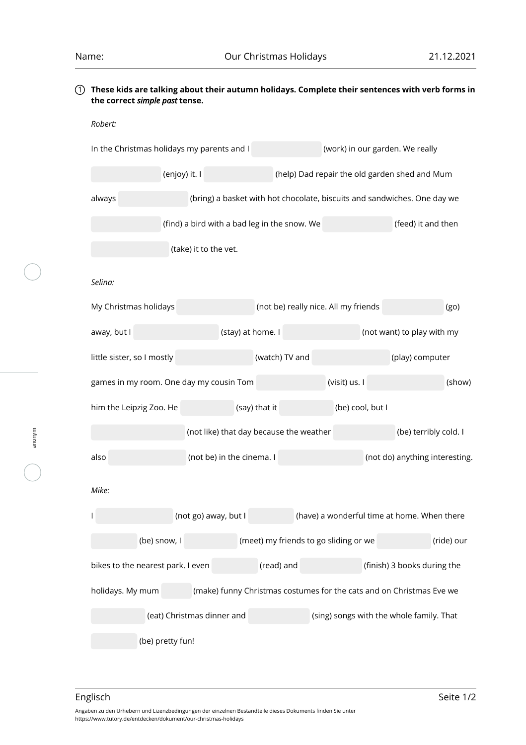## 1 **These kids are talking about their autumn holidays. Complete their sentences with verb forms in the correct** *simple past* **tense.**

| Robert:                                                                |                                         |                                       |                                                                          |                                |            |  |
|------------------------------------------------------------------------|-----------------------------------------|---------------------------------------|--------------------------------------------------------------------------|--------------------------------|------------|--|
| In the Christmas holidays my parents and I                             |                                         | (work) in our garden. We really       |                                                                          |                                |            |  |
| (enjoy) it. I                                                          |                                         |                                       | (help) Dad repair the old garden shed and Mum                            |                                |            |  |
| always                                                                 |                                         |                                       | (bring) a basket with hot chocolate, biscuits and sandwiches. One day we |                                |            |  |
| (find) a bird with a bad leg in the snow. We                           |                                         |                                       |                                                                          | (feed) it and then             |            |  |
| (take) it to the vet.                                                  |                                         |                                       |                                                                          |                                |            |  |
| Selina:                                                                |                                         |                                       |                                                                          |                                |            |  |
| My Christmas holidays                                                  |                                         | (not be) really nice. All my friends  |                                                                          |                                | (go)       |  |
| away, but I                                                            | (stay) at home. I                       |                                       |                                                                          | (not want) to play with my     |            |  |
| little sister, so I mostly                                             |                                         | (watch) TV and                        |                                                                          | (play) computer                |            |  |
| games in my room. One day my cousin Tom                                |                                         |                                       | (visit) us. I                                                            |                                | (show)     |  |
| him the Leipzig Zoo. He                                                |                                         | (say) that it                         | (be) cool, but I                                                         |                                |            |  |
|                                                                        | (not like) that day because the weather |                                       |                                                                          | (be) terribly cold. I          |            |  |
| also                                                                   | (not be) in the cinema. I               |                                       |                                                                          | (not do) anything interesting. |            |  |
| Mike:                                                                  |                                         |                                       |                                                                          |                                |            |  |
|                                                                        | (not go) away, but I                    |                                       | (have) a wonderful time at home. When there                              |                                |            |  |
| (be) snow, I                                                           |                                         | (meet) my friends to go sliding or we |                                                                          |                                | (ride) our |  |
| bikes to the nearest park. I even                                      |                                         | (read) and                            |                                                                          | (finish) 3 books during the    |            |  |
| holidays. My mum                                                       |                                         |                                       | (make) funny Christmas costumes for the cats and on Christmas Eve we     |                                |            |  |
| (eat) Christmas dinner and<br>(sing) songs with the whole family. That |                                         |                                       |                                                                          |                                |            |  |
| (be) pretty fun!                                                       |                                         |                                       |                                                                          |                                |            |  |

anonym